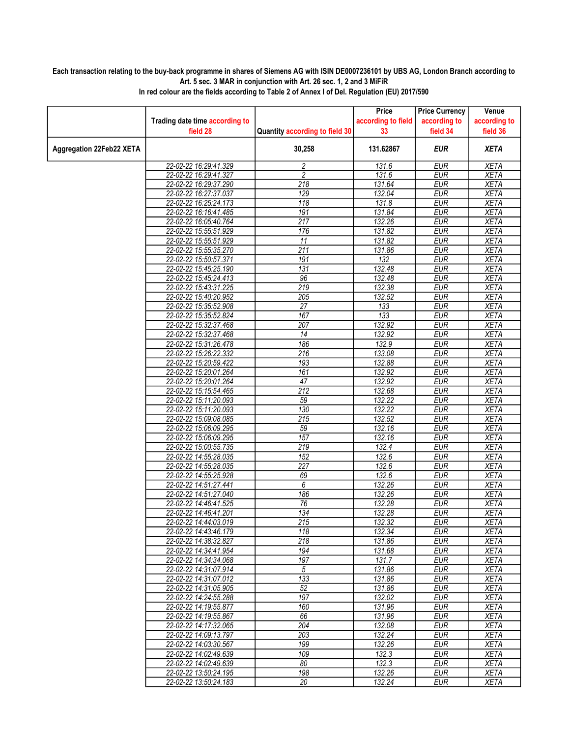## Each transaction relating to the buy-back programme in shares of Siemens AG with ISIN DE0007236101 by UBS AG, London Branch according to Art. 5 sec. 3 MAR in conjunction with Art. 26 sec. 1, 2 and 3 MiFiR

|                                 |                                                |                                | Price              | <b>Price Currency</b>    | Venue                      |
|---------------------------------|------------------------------------------------|--------------------------------|--------------------|--------------------------|----------------------------|
|                                 | Trading date time according to                 |                                | according to field | according to             | according to               |
|                                 | field 28                                       | Quantity according to field 30 | 33                 | field 34                 | field 36                   |
| <b>Aggregation 22Feb22 XETA</b> |                                                | 30,258                         | 131.62867          | <b>EUR</b>               | <b>XETA</b>                |
|                                 | 22-02-22 16:29:41.329                          | 2                              | 131.6              | <b>EUR</b>               | <b>XETA</b>                |
|                                 | 22-02-22 16:29:41.327                          | $\overline{2}$                 | 131.6              | <b>EUR</b>               | <b>XETA</b>                |
|                                 | 22-02-22 16:29:37.290                          | 218                            | 131.64             | <b>EUR</b>               | <b>XETA</b>                |
|                                 | 22-02-22 16:27:37.037                          | 129                            | 132.04             | <b>EUR</b>               | <b>XETA</b>                |
|                                 | 22-02-22 16:25:24.173                          | 118                            | 131.8              | <b>EUR</b>               | <b>XETA</b>                |
|                                 | 22-02-22 16:16:41.485                          | 191                            | 131.84             | <b>EUR</b>               | <b>XETA</b>                |
|                                 | 22-02-22 16:05:40.764                          | $\overline{217}$               | 132.26             | <b>EUR</b>               | <b>XETA</b>                |
|                                 | 22-02-22 15:55:51.929                          | 176                            | 131.82             | <b>EUR</b>               | <b>XETA</b>                |
|                                 | 22-02-22 15:55:51.929                          | 11                             | 131.82             | <b>EUR</b>               | <b>XETA</b>                |
|                                 | 22-02-22 15:55:35.270                          | 211                            | 131.86             | <b>EUR</b>               | <b>XETA</b>                |
|                                 | 22-02-22 15:50:57.371                          | 191                            | 132                | <b>EUR</b>               | <b>XETA</b>                |
|                                 | 22-02-22 15:45:25.190                          | 131                            | 132.48             | <b>EUR</b>               | <b>XETA</b>                |
|                                 | 22-02-22 15:45:24.413                          | 96                             | 132.48             | <b>EUR</b>               | <b>XETA</b>                |
|                                 | 22-02-22 15:43:31.225                          | 219                            | 132.38             | <b>EUR</b>               | <b>XETA</b>                |
|                                 | 22-02-22 15:40:20.952                          | 205                            | 132.52             | <b>EUR</b>               | <b>XETA</b>                |
|                                 | 22-02-22 15:35:52.908                          | 27                             | 133                | <b>EUR</b>               | <b>XETA</b>                |
|                                 | 22-02-22 15:35:52.824                          | 167                            | 133                | <b>EUR</b>               | <b>XETA</b>                |
|                                 | 22-02-22 15:32:37.468                          | 207                            | 132.92             | <b>EUR</b>               | <b>XETA</b>                |
|                                 | 22-02-22 15:32:37.468                          | 14                             | 132.92             | <b>EUR</b>               | <b>XETA</b>                |
|                                 | 22-02-22 15:31:26.478                          | 186                            | 132.9              | <b>EUR</b>               | <b>XETA</b>                |
|                                 | 22-02-22 15:26:22.332                          | 216                            | 133.08             | <b>EUR</b>               | <b>XETA</b>                |
|                                 | 22-02-22 15:20:59.422                          | 193                            | 132.88             | <b>EUR</b>               | <b>XETA</b>                |
|                                 | 22-02-22 15:20:01.264                          | $\overline{161}$               | 132.92             | <b>EUR</b>               | <b>XETA</b>                |
|                                 | 22-02-22 15:20:01.264                          | 47                             | 132.92             | <b>EUR</b>               | <b>XETA</b>                |
|                                 | 22-02-22 15:15:54.465                          | $\overline{212}$               | 132.68             | <b>EUR</b>               | <b>XETA</b>                |
|                                 | 22-02-22 15:11:20.093                          | 59<br>130                      | 132.22<br>132.22   | <b>EUR</b><br>EUR        | <b>XETA</b>                |
|                                 | 22-02-22 15:11:20.093                          |                                | 132.52             | <b>EUR</b>               | <b>XETA</b><br><b>XETA</b> |
|                                 | 22-02-22 15:09:08.085                          | 215                            |                    |                          |                            |
|                                 | 22-02-22 15:06:09.295<br>22-02-22 15:06:09.295 | 59<br>157                      | 132.16<br>132.16   | <b>EUR</b><br><b>EUR</b> | <b>XETA</b><br><b>XETA</b> |
|                                 | 22-02-22 15:00:55.735                          | 219                            | 132.4              | <b>EUR</b>               | <b>XETA</b>                |
|                                 | 22-02-22 14:55:28.035                          | 152                            |                    | <b>EUR</b>               | <b>XETA</b>                |
|                                 | 22-02-22 14:55:28.035                          | $\overline{227}$               | 132.6<br>132.6     | <b>EUR</b>               | <b>XETA</b>                |
|                                 | 22-02-22 14:55:25.928                          | 69                             | 132.6              | <b>EUR</b>               | <b>XETA</b>                |
|                                 | 22-02-22 14:51:27.441                          | 6                              | 132.26             | <b>EUR</b>               | <b>XETA</b>                |
|                                 | 22-02-22 14:51:27.040                          | 186                            | 132.26             | <b>EUR</b>               | <b>XETA</b>                |
|                                 | 22-02-22 14:46:41.525                          | $\overline{76}$                | 132.28             | <b>EUR</b>               | <b>XETA</b>                |
|                                 | 22-02-22 14:46:41.201                          | 134                            | 132.28             | <b>EUR</b>               | XETA                       |
|                                 | 22-02-22 14:44:03.019                          | 215                            | 132.32             | <b>EUR</b>               | <b>XETA</b>                |
|                                 | 22-02-22 14:43:46.179                          | 118                            | 132.34             | <b>EUR</b>               | <b>XETA</b>                |
|                                 | 22-02-22 14:38:32.827                          | 218                            | 131.86             | <b>EUR</b>               | <b>XETA</b>                |
|                                 | 22-02-22 14:34:41.954                          | 194                            | 131.68             | <b>EUR</b>               | <b>XETA</b>                |
|                                 | 22-02-22 14:34:34.068                          | 197                            | 131.7              | <b>EUR</b>               | <b>XETA</b>                |
|                                 | 22-02-22 14:31:07.914                          | $\sqrt{5}$                     | 131.86             | <b>EUR</b>               | <b>XETA</b>                |
|                                 | 22-02-22 14:31:07.012                          | 133                            | 131.86             | <b>EUR</b>               | <b>XETA</b>                |
|                                 | 22-02-22 14:31:05.905                          | 52                             | 131.86             | <b>EUR</b>               | <b>XETA</b>                |
|                                 | 22-02-22 14:24:55.288                          | 197                            | 132.02             | <b>EUR</b>               | <b>XETA</b>                |
|                                 | 22-02-22 14:19:55.877                          | 160                            | 131.96             | <b>EUR</b>               | <b>XETA</b>                |
|                                 | 22-02-22 14:19:55.867                          | 66                             | 131.96             | <b>EUR</b>               | <b>XETA</b>                |
|                                 | 22-02-22 14:17:32.065                          | $\overline{204}$               | 132.08             | EUR                      | <b>XETA</b>                |
|                                 | 22-02-22 14:09:13.797                          | $\overline{203}$               | 132.24             | <b>EUR</b>               | <b>XETA</b>                |
|                                 | 22-02-22 14:03:30.567                          | 199                            | 132.26             | <b>EUR</b>               | <b>XETA</b>                |
|                                 | 22-02-22 14:02:49.639                          | 109                            | 132.3              | <b>EUR</b>               | <b>XETA</b>                |
|                                 | 22-02-22 14:02:49.639                          | 80                             | 132.3              | <b>EUR</b>               | <b>XETA</b>                |
|                                 | 22-02-22 13:50:24.195                          | 198                            | 132.26             | <b>EUR</b>               | <b>XETA</b>                |
|                                 | 22-02-22 13:50:24.183                          | 20                             | 132.24             | <b>EUR</b>               | <b>XETA</b>                |

In red colour are the fields according to Table 2 of Annex I of Del. Regulation (EU) 2017/590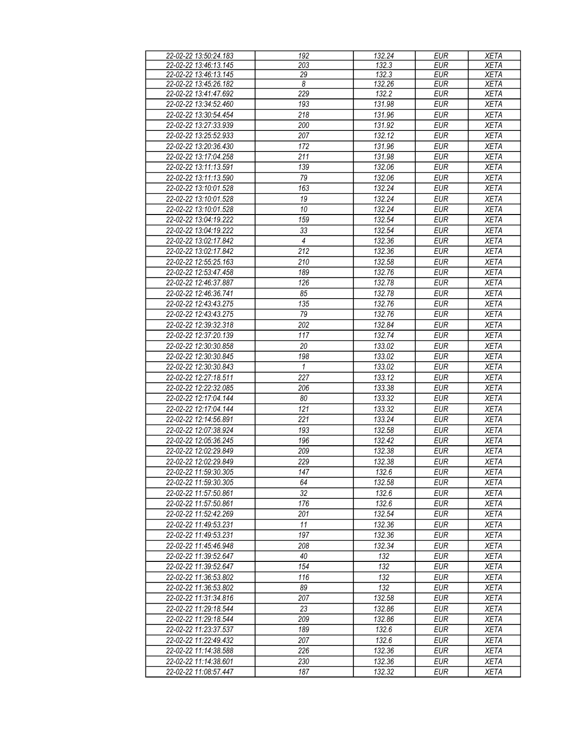| 22-02-22 13:50:24.183 | 192            | 132.24 | <b>EUR</b> | <b>XETA</b> |
|-----------------------|----------------|--------|------------|-------------|
| 22-02-22 13:46:13.145 | 203            | 132.3  | <b>EUR</b> | <b>XETA</b> |
| 22-02-22 13:46:13.145 | 29             | 132.3  | <b>EUR</b> | <b>XETA</b> |
|                       |                |        |            |             |
| 22-02-22 13:45:26.182 | 8              | 132.26 | <b>EUR</b> | <b>XETA</b> |
| 22-02-22 13:41:47.692 | 229            | 132.2  | <b>EUR</b> | <b>XETA</b> |
| 22-02-22 13:34:52.460 | 193            | 131.98 | <b>EUR</b> | <b>XETA</b> |
| 22-02-22 13:30:54.454 | 218            | 131.96 | <b>EUR</b> | <b>XETA</b> |
| 22-02-22 13:27:33.939 | 200            | 131.92 | <b>EUR</b> | <b>XETA</b> |
| 22-02-22 13:25:52.933 | 207            | 132.12 | <b>EUR</b> | <b>XETA</b> |
| 22-02-22 13:20:36.430 | 172            | 131.96 | <b>EUR</b> | <b>XETA</b> |
|                       |                |        |            |             |
| 22-02-22 13:17:04.258 | 211            | 131.98 | <b>EUR</b> | <b>XETA</b> |
| 22-02-22 13:11:13.591 | 139            | 132.06 | <b>EUR</b> | <b>XETA</b> |
| 22-02-22 13:11:13.590 | 79             | 132.06 | <b>EUR</b> | <b>XETA</b> |
| 22-02-22 13:10:01.528 | 163            | 132.24 | <b>EUR</b> | <b>XETA</b> |
| 22-02-22 13:10:01.528 | 19             | 132.24 | <b>EUR</b> | <b>XETA</b> |
| 22-02-22 13:10:01.528 | 10             | 132.24 | <b>EUR</b> | <b>XETA</b> |
| 22-02-22 13:04:19.222 | 159            | 132.54 | <b>EUR</b> | <b>XETA</b> |
|                       |                |        |            |             |
| 22-02-22 13:04:19.222 | 33             | 132.54 | <b>EUR</b> | <b>XETA</b> |
| 22-02-22 13:02:17.842 | $\overline{4}$ | 132.36 | <b>EUR</b> | <b>XETA</b> |
| 22-02-22 13:02:17.842 | 212            | 132.36 | <b>EUR</b> | <b>XETA</b> |
| 22-02-22 12:55:25.163 | 210            | 132.58 | <b>EUR</b> | <b>XETA</b> |
| 22-02-22 12:53:47.458 | 189            | 132.76 | <b>EUR</b> | <b>XETA</b> |
| 22-02-22 12:46:37.887 | 126            | 132.78 | <b>EUR</b> | <b>XETA</b> |
| 22-02-22 12:46:36.741 | 85             | 132.78 | <b>EUR</b> | <b>XETA</b> |
| 22-02-22 12:43:43.275 | 135            | 132.76 | <b>EUR</b> | <b>XETA</b> |
|                       |                |        | <b>EUR</b> |             |
| 22-02-22 12:43:43.275 | 79             | 132.76 |            | <b>XETA</b> |
| 22-02-22 12:39:32.318 | 202            | 132.84 | <b>EUR</b> | <b>XETA</b> |
| 22-02-22 12:37:20.139 | 117            | 132.74 | <b>EUR</b> | <b>XETA</b> |
| 22-02-22 12:30:30.858 | 20             | 133.02 | <b>EUR</b> | <b>XETA</b> |
| 22-02-22 12:30:30.845 | 198            | 133.02 | <b>EUR</b> | <b>XETA</b> |
| 22-02-22 12:30:30.843 | $\mathbf{1}$   | 133.02 | <b>EUR</b> | <b>XETA</b> |
| 22-02-22 12:27:18.511 | 227            | 133.12 | <b>EUR</b> | <b>XETA</b> |
| 22-02-22 12:22:32.085 | 206            | 133.38 | <b>EUR</b> | <b>XETA</b> |
| 22-02-22 12:17:04.144 | 80             | 133.32 | <b>EUR</b> | <b>XETA</b> |
| 22-02-22 12:17:04.144 | 121            | 133.32 | <b>EUR</b> | <b>XETA</b> |
| 22-02-22 12:14:56.891 | 221            | 133.24 | <b>EUR</b> | <b>XETA</b> |
|                       |                |        |            |             |
| 22-02-22 12:07:38.924 | 193            | 132.58 | <b>EUR</b> | <b>XETA</b> |
| 22-02-22 12:05:36.245 | 196            | 132.42 | <b>EUR</b> | <b>XETA</b> |
| 22-02-22 12:02:29.849 | 209            | 132.38 | EUR        | <b>XETA</b> |
| 22-02-22 12:02:29.849 | 229            | 132.38 | <b>EUR</b> | <b>XETA</b> |
| 22-02-22 11:59:30.305 | 147            | 132.6  | EUR        | <b>XETA</b> |
| 22-02-22 11:59:30.305 | 64             | 132.58 | <b>EUR</b> | <b>XETA</b> |
| 22-02-22 11:57:50.861 | 32             | 132.6  | <b>EUR</b> | XETA        |
| 22-02-22 11:57:50.861 | 176            | 132.6  | EUR        | <b>XETA</b> |
| 22-02-22 11:52:42.269 | 201            | 132.54 | <b>EUR</b> | <b>XETA</b> |
| 22-02-22 11:49:53.231 | 11             | 132.36 | <b>EUR</b> | <b>XETA</b> |
|                       |                |        |            |             |
| 22-02-22 11:49:53.231 | 197            | 132.36 | <b>EUR</b> | XETA        |
| 22-02-22 11:45:46.948 | 208            | 132.34 | <b>EUR</b> | <b>XETA</b> |
| 22-02-22 11:39:52.647 | 40             | 132    | <b>EUR</b> | <b>XETA</b> |
| 22-02-22 11:39:52.647 | 154            | 132    | <b>EUR</b> | <b>XETA</b> |
| 22-02-22 11:36:53.802 | 116            | 132    | <b>EUR</b> | <b>XETA</b> |
| 22-02-22 11:36:53.802 | 89             | 132    | <b>EUR</b> | <b>XETA</b> |
| 22-02-22 11:31:34.816 | 207            | 132.58 | <b>EUR</b> | <b>XETA</b> |
| 22-02-22 11:29:18.544 | 23             | 132.86 | <b>EUR</b> | XETA        |
| 22-02-22 11:29:18.544 | 209            | 132.86 | <b>EUR</b> | <b>XETA</b> |
| 22-02-22 11:23:37.537 | 189            | 132.6  | <b>EUR</b> | <b>XETA</b> |
|                       |                |        |            |             |
| 22-02-22 11:22:49.432 | 207            | 132.6  | <b>EUR</b> | <b>XETA</b> |
| 22-02-22 11:14:38.588 | 226            | 132.36 | <b>EUR</b> | <b>XETA</b> |
| 22-02-22 11:14:38.601 | 230            | 132.36 | EUR        | <b>XETA</b> |
| 22-02-22 11:08:57.447 | 187            | 132.32 | <b>EUR</b> | <b>XETA</b> |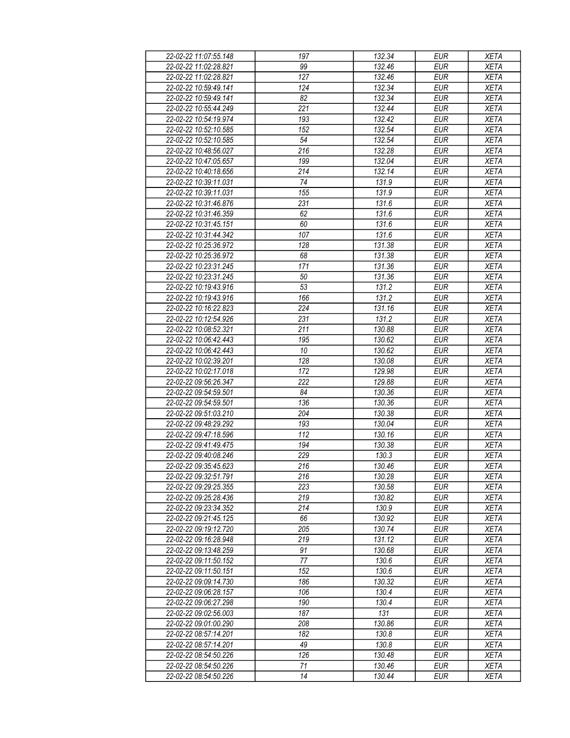| 22-02-22 11:07:55.148 | 197              | 132.34              | EUR        | <b>XETA</b> |
|-----------------------|------------------|---------------------|------------|-------------|
| 22-02-22 11:02:28.821 |                  |                     |            |             |
|                       | 99               | 132.46              | <b>EUR</b> | <b>XETA</b> |
| 22-02-22 11:02:28.821 | 127              | $\overline{132.46}$ | <b>EUR</b> | <b>XETA</b> |
| 22-02-22 10:59:49.141 | 124              | 132.34              | <b>EUR</b> | <b>XETA</b> |
| 22-02-22 10:59:49.141 | 82               | 132.34              | <b>EUR</b> | <b>XETA</b> |
| 22-02-22 10:55:44.249 | 221              | 132.44              | <b>EUR</b> | <b>XETA</b> |
| 22-02-22 10:54:19.974 | 193              | 132.42              | <b>EUR</b> | <b>XETA</b> |
| 22-02-22 10:52:10.585 | 152              | 132.54              | <b>EUR</b> | <b>XETA</b> |
| 22-02-22 10:52:10.585 | 54               | 132.54              | <b>EUR</b> | <b>XETA</b> |
|                       |                  |                     |            |             |
| 22-02-22 10:48:56.027 | 216              | 132.28              | <b>EUR</b> | <b>XETA</b> |
| 22-02-22 10:47:05.657 | 199              | 132.04              | <b>EUR</b> | <b>XETA</b> |
| 22-02-22 10:40:18.656 | 214              | 132.14              | <b>EUR</b> | <b>XETA</b> |
| 22-02-22 10:39:11.031 | 74               | 131.9               | <b>EUR</b> | <b>XETA</b> |
| 22-02-22 10:39:11.031 | 155              | 131.9               | <b>EUR</b> | <b>XETA</b> |
| 22-02-22 10:31:46.876 | 231              | 131.6               | <b>EUR</b> | <b>XETA</b> |
| 22-02-22 10:31:46.359 | 62               | 131.6               | <b>EUR</b> | <b>XETA</b> |
| 22-02-22 10:31:45.151 | 60               | 131.6               | <b>EUR</b> | <b>XETA</b> |
| 22-02-22 10:31:44.342 | 107              | 131.6               | <b>EUR</b> | <b>XETA</b> |
|                       |                  |                     |            |             |
| 22-02-22 10:25:36.972 | 128              | 131.38              | <b>EUR</b> | <b>XETA</b> |
| 22-02-22 10:25:36.972 | 68               | 131.38              | <b>EUR</b> | <b>XETA</b> |
| 22-02-22 10:23:31.245 | 171              | 131.36              | <b>EUR</b> | <b>XETA</b> |
| 22-02-22 10:23:31.245 | 50               | 131.36              | <b>EUR</b> | <b>XETA</b> |
| 22-02-22 10:19:43.916 | 53               | 131.2               | <b>EUR</b> | <b>XETA</b> |
| 22-02-22 10:19:43.916 | 166              | 131.2               | <b>EUR</b> | <b>XETA</b> |
| 22-02-22 10:16:22.823 | 224              | 131.16              | <b>EUR</b> | <b>XETA</b> |
| 22-02-22 10:12:54.926 | 231              | 131.2               | <b>EUR</b> | <b>XETA</b> |
| 22-02-22 10:08:52.321 | 211              | 130.88              | <b>EUR</b> | <b>XETA</b> |
| 22-02-22 10:06:42.443 | 195              | 130.62              | <b>EUR</b> | <b>XETA</b> |
| 22-02-22 10:06:42.443 | 10               | 130.62              | <b>EUR</b> | <b>XETA</b> |
|                       | 128              |                     |            |             |
| 22-02-22 10:02:39.201 |                  | 130.08              | <b>EUR</b> | <b>XETA</b> |
| 22-02-22 10:02:17.018 | 172              | 129.98              | <b>EUR</b> | <b>XETA</b> |
| 22-02-22 09:56:26.347 | 222              | 129.88              | <b>EUR</b> | <b>XETA</b> |
| 22-02-22 09:54:59.501 | 84               | 130.36              | <b>EUR</b> | <b>XETA</b> |
| 22-02-22 09:54:59.501 | 136              | 130.36              | <b>EUR</b> | <b>XETA</b> |
| 22-02-22 09:51:03.210 | 204              | 130.38              | <b>EUR</b> | <b>XETA</b> |
| 22-02-22 09:48:29.292 | 193              | 130.04              | <b>EUR</b> | <b>XETA</b> |
| 22-02-22 09:47:18.596 | $\overline{112}$ | 130.16              | <b>EUR</b> | <b>XETA</b> |
| 22-02-22 09:41:49.475 | 194              | 130.38              | <b>EUR</b> | <b>XETA</b> |
| 22-02-22 09:40:08.246 | 229              | 130.3               | <b>EUR</b> | <b>XETA</b> |
| 22-02-22 09:35:45.623 | 216              | $\frac{130.46}{ }$  | <b>EUR</b> | <b>XETA</b> |
| 22-02-22 09:32:51.791 | 216              | 130.28              | <b>EUR</b> |             |
|                       |                  |                     |            | XETA        |
| 22-02-22 09:29:25.355 | 223              | 130.58              | EUR        | <b>XETA</b> |
| 22-02-22 09:25:28.436 | 219              | 130.82              | <b>EUR</b> | <b>XETA</b> |
| 22-02-22 09:23:34.352 | 214              | 130.9               | EUR        | <b>XETA</b> |
| 22-02-22 09:21:45.125 | 66               | 130.92              | <b>EUR</b> | <b>XETA</b> |
| 22-02-22 09:19:12.720 | 205              | 130.74              | EUR        | <b>XETA</b> |
| 22-02-22 09:16:28.948 | 219              | 131.12              | <b>EUR</b> | <b>XETA</b> |
| 22-02-22 09:13:48.259 | 91               | 130.68              | <b>EUR</b> | <b>XETA</b> |
| 22-02-22 09:11:50.152 | 77               | 130.6               | <b>EUR</b> | <b>XETA</b> |
| 22-02-22 09:11:50.151 | 152              | 130.6               | EUR        | <b>XETA</b> |
| 22-02-22 09:09:14.730 | 186              | 130.32              | <b>EUR</b> | <b>XETA</b> |
|                       | 106              | 130.4               | <b>EUR</b> |             |
| 22-02-22 09:06:28.157 |                  |                     |            | <b>XETA</b> |
| 22-02-22 09:06:27.298 | 190              | 130.4               | <b>EUR</b> | <b>XETA</b> |
| 22-02-22 09:02:56.003 | 187              | 131                 | EUR        | <b>XETA</b> |
| 22-02-22 09:01:00.290 | 208              | 130.86              | <b>EUR</b> | <b>XETA</b> |
| 22-02-22 08:57:14.201 | 182              | 130.8               | <b>EUR</b> | <b>XETA</b> |
| 22-02-22 08:57:14.201 | 49               | 130.8               | <b>EUR</b> | <b>XETA</b> |
| 22-02-22 08:54:50.226 | 126              | 130.48              | <b>EUR</b> | <b>XETA</b> |
| 22-02-22 08:54:50.226 | 71               | 130.46              | EUR        | XETA        |
| 22-02-22 08:54:50.226 | 14               | 130.44              | EUR        | XETA        |
|                       |                  |                     |            |             |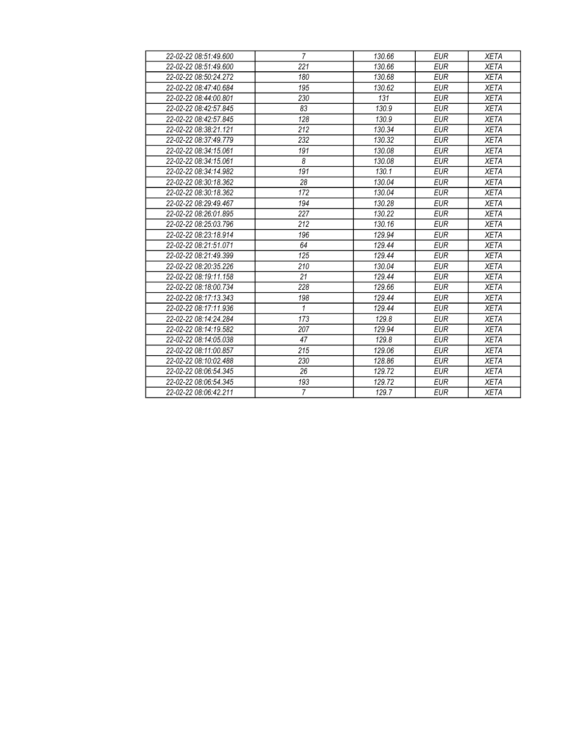| 22-02-22 08:51:49.600 | $\overline{7}$   | 130.66 | <b>EUR</b> | <b>XETA</b> |
|-----------------------|------------------|--------|------------|-------------|
| 22-02-22 08:51:49.600 | $\overline{221}$ | 130.66 | <b>EUR</b> | <b>XETA</b> |
| 22-02-22 08:50:24.272 | 180              | 130.68 | <b>EUR</b> | <b>XETA</b> |
| 22-02-22 08:47:40.684 | 195              | 130.62 | <b>EUR</b> | <b>XETA</b> |
| 22-02-22 08:44:00.801 | 230              | 131    | <b>EUR</b> | <b>XETA</b> |
| 22-02-22 08:42:57.845 | 83               | 130.9  | <b>EUR</b> | <b>XETA</b> |
| 22-02-22 08:42:57.845 | 128              | 130.9  | <b>EUR</b> | <b>XETA</b> |
| 22-02-22 08:38:21.121 | 212              | 130.34 | <b>EUR</b> | <b>XETA</b> |
| 22-02-22 08:37:49.779 | 232              | 130.32 | <b>EUR</b> | <b>XETA</b> |
| 22-02-22 08:34:15.061 | 191              | 130.08 | <b>EUR</b> | <b>XETA</b> |
| 22-02-22 08:34:15.061 | 8                | 130.08 | <b>EUR</b> | <b>XETA</b> |
| 22-02-22 08:34:14.982 | 191              | 130.1  | <b>EUR</b> | <b>XETA</b> |
| 22-02-22 08:30:18.362 | 28               | 130.04 | <b>EUR</b> | <b>XETA</b> |
| 22-02-22 08:30:18.362 | 172              | 130.04 | <b>EUR</b> | <b>XETA</b> |
| 22-02-22 08:29:49.467 | 194              | 130.28 | <b>EUR</b> | <b>XETA</b> |
| 22-02-22 08:26:01.895 | 227              | 130.22 | <b>EUR</b> | <b>XETA</b> |
| 22-02-22 08:25:03.796 | 212              | 130.16 | <b>EUR</b> | <b>XETA</b> |
| 22-02-22 08:23:18.914 | 196              | 129.94 | <b>EUR</b> | <b>XETA</b> |
| 22-02-22 08:21:51.071 | 64               | 129.44 | <b>EUR</b> | <b>XETA</b> |
| 22-02-22 08:21:49.399 | 125              | 129.44 | <b>EUR</b> | <b>XETA</b> |
| 22-02-22 08:20:35.226 | 210              | 130.04 | <b>EUR</b> | <b>XETA</b> |
| 22-02-22 08:19:11.158 | 21               | 129.44 | <b>EUR</b> | <b>XETA</b> |
| 22-02-22 08:18:00.734 | 228              | 129.66 | <b>EUR</b> | <b>XETA</b> |
| 22-02-22 08:17:13.343 | 198              | 129.44 | <b>EUR</b> | <b>XETA</b> |
| 22-02-22 08:17:11.936 | $\mathbf{1}$     | 129.44 | <b>EUR</b> | <b>XETA</b> |
| 22-02-22 08:14:24.284 | 173              | 129.8  | <b>EUR</b> | <b>XETA</b> |
| 22-02-22 08:14:19.582 | 207              | 129.94 | <b>EUR</b> | <b>XETA</b> |
| 22-02-22 08:14:05.038 | 47               | 129.8  | <b>EUR</b> | <b>XETA</b> |
| 22-02-22 08:11:00.857 | 215              | 129.06 | <b>EUR</b> | <b>XETA</b> |
| 22-02-22 08:10:02.488 | 230              | 128.86 | <b>EUR</b> | <b>XETA</b> |
| 22-02-22 08:06:54.345 | 26               | 129.72 | <b>EUR</b> | <b>XETA</b> |
| 22-02-22 08:06:54.345 | 193              | 129.72 | <b>EUR</b> | <b>XETA</b> |
| 22-02-22 08:06:42.211 | $\overline{7}$   | 129.7  | <b>EUR</b> | XETA        |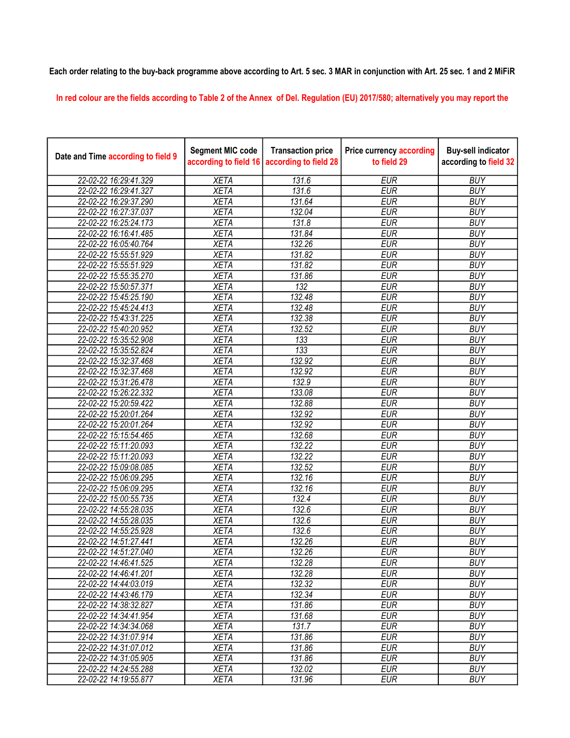## Each order relating to the buy-back programme above according to Art. 5 sec. 3 MAR in conjunction with Art. 25 sec. 1 and 2 MiFiR

In red colour are the fields according to Table 2 of the Annex of Del. Regulation (EU) 2017/580; alternatively you may report the

| Date and Time according to field 9 | <b>Segment MIC code</b><br>according to field 16 | <b>Transaction price</b><br>according to field 28 | <b>Price currency according</b><br>to field 29 | <b>Buy-sell indicator</b><br>according to field 32 |
|------------------------------------|--------------------------------------------------|---------------------------------------------------|------------------------------------------------|----------------------------------------------------|
| 22-02-22 16:29:41.329              | <b>XETA</b>                                      | 131.6                                             | <b>EUR</b>                                     | <b>BUY</b>                                         |
| 22-02-22 16:29:41.327              | <b>XETA</b>                                      | 131.6                                             | <b>EUR</b>                                     | <b>BUY</b>                                         |
| 22-02-22 16:29:37.290              | <b>XETA</b>                                      | 131.64                                            | <b>EUR</b>                                     | <b>BUY</b>                                         |
| 22-02-22 16:27:37.037              | <b>XETA</b>                                      | 132.04                                            | <b>EUR</b>                                     | <b>BUY</b>                                         |
| 22-02-22 16:25:24.173              | <b>XETA</b>                                      | 131.8                                             | <b>EUR</b>                                     | <b>BUY</b>                                         |
| 22-02-22 16:16:41.485              | <b>XETA</b>                                      | 131.84                                            | <b>EUR</b>                                     | <b>BUY</b>                                         |
| 22-02-22 16:05:40.764              | <b>XETA</b>                                      | 132.26                                            | <b>EUR</b>                                     | <b>BUY</b>                                         |
| 22-02-22 15:55:51.929              | <b>XETA</b>                                      | 131.82                                            | <b>EUR</b>                                     | <b>BUY</b>                                         |
| 22-02-22 15:55:51.929              | <b>XETA</b>                                      | 131.82                                            | <b>EUR</b>                                     | <b>BUY</b>                                         |
| 22-02-22 15:55:35.270              | <b>XETA</b>                                      | 131.86                                            | <b>EUR</b>                                     | <b>BUY</b>                                         |
| 22-02-22 15:50:57.371              | <b>XETA</b>                                      | $\overline{132}$                                  | <b>EUR</b>                                     | <b>BUY</b>                                         |
| 22-02-22 15:45:25.190              | <b>XETA</b>                                      | 132.48                                            | <b>EUR</b>                                     | <b>BUY</b>                                         |
| 22-02-22 15:45:24.413              | <b>XETA</b>                                      | 132.48                                            | <b>EUR</b>                                     | <b>BUY</b>                                         |
| 22-02-22 15:43:31.225              | <b>XETA</b>                                      | 132.38                                            | <b>EUR</b>                                     | <b>BUY</b>                                         |
| 22-02-22 15:40:20.952              | <b>XETA</b>                                      | 132.52                                            | <b>EUR</b>                                     | <b>BUY</b>                                         |
| 22-02-22 15:35:52.908              | <b>XETA</b>                                      | 133                                               | <b>EUR</b>                                     | <b>BUY</b>                                         |
| 22-02-22 15:35:52.824              | <b>XETA</b>                                      | 133                                               | <b>EUR</b>                                     | <b>BUY</b>                                         |
| 22-02-22 15:32:37.468              | <b>XETA</b>                                      | 132.92                                            | <b>EUR</b>                                     | <b>BUY</b>                                         |
| 22-02-22 15:32:37.468              | <b>XETA</b>                                      | 132.92                                            | <b>EUR</b>                                     | <b>BUY</b>                                         |
| 22-02-22 15:31:26.478              | <b>XETA</b>                                      | 132.9                                             | <b>EUR</b>                                     | <b>BUY</b>                                         |
| 22-02-22 15:26:22.332              | <b>XETA</b>                                      | 133.08                                            | <b>EUR</b>                                     | <b>BUY</b>                                         |
| 22-02-22 15:20:59.422              | <b>XETA</b>                                      | 132.88                                            | <b>EUR</b>                                     | <b>BUY</b>                                         |
| 22-02-22 15:20:01.264              | <b>XETA</b>                                      | 132.92                                            | <b>EUR</b>                                     | <b>BUY</b>                                         |
| 22-02-22 15:20:01.264              | <b>XETA</b>                                      | 132.92                                            | <b>EUR</b>                                     | <b>BUY</b>                                         |
| 22-02-22 15:15:54.465              | <b>XETA</b>                                      | 132.68                                            | <b>EUR</b>                                     | <b>BUY</b>                                         |
| 22-02-22 15:11:20.093              | <b>XETA</b>                                      | 132.22                                            | <b>EUR</b>                                     | <b>BUY</b>                                         |
| 22-02-22 15:11:20.093              | <b>XETA</b>                                      | 132.22                                            | <b>EUR</b>                                     | <b>BUY</b>                                         |
| 22-02-22 15:09:08.085              | <b>XETA</b>                                      | 132.52                                            | <b>EUR</b>                                     | <b>BUY</b>                                         |
| 22-02-22 15:06:09.295              | <b>XETA</b>                                      | 132.16                                            | <b>EUR</b>                                     | <b>BUY</b>                                         |
| 22-02-22 15:06:09.295              | <b>XETA</b>                                      | 132.16                                            | <b>EUR</b>                                     | <b>BUY</b>                                         |
| 22-02-22 15:00:55.735              | <b>XETA</b>                                      | 132.4                                             | <b>EUR</b>                                     | <b>BUY</b>                                         |
| 22-02-22 14:55:28.035              | <b>XETA</b>                                      | 132.6                                             | <b>EUR</b>                                     | <b>BUY</b>                                         |
| 22-02-22 14:55:28.035              | <b>XETA</b>                                      | 132.6                                             | <b>EUR</b>                                     | <b>BUY</b>                                         |
| 22-02-22 14:55:25.928              | <b>XETA</b>                                      | 132.6                                             | <b>EUR</b>                                     | <b>BUY</b>                                         |
| 22-02-22 14:51:27.441              | <b>XETA</b>                                      | 132.26                                            | <b>EUR</b>                                     | <b>BUY</b>                                         |
| 22-02-22 14:51:27.040              | <b>XETA</b>                                      | 132.26                                            | <b>EUR</b>                                     | <b>BUY</b>                                         |
| 22-02-22 14:46:41.525              | XETA                                             | 132.28                                            | EUR                                            | <b>BUY</b>                                         |
| 22-02-22 14:46:41.201              | <b>XETA</b>                                      | 132.28                                            | <b>EUR</b>                                     | <b>BUY</b>                                         |
| 22-02-22 14:44:03.019              | <b>XETA</b>                                      | 132.32                                            | <b>EUR</b>                                     | <b>BUY</b>                                         |
| 22-02-22 14:43:46.179              | <b>XETA</b>                                      | 132.34                                            | <b>EUR</b>                                     | <b>BUY</b>                                         |
| 22-02-22 14:38:32.827              | <b>XETA</b>                                      | 131.86                                            | <b>EUR</b>                                     | <b>BUY</b>                                         |
| 22-02-22 14:34:41.954              | <b>XETA</b>                                      | 131.68                                            | <b>EUR</b>                                     | <b>BUY</b>                                         |
| 22-02-22 14:34:34.068              | <b>XETA</b>                                      | 131.7                                             | <b>EUR</b>                                     | <b>BUY</b>                                         |
| 22-02-22 14:31:07.914              | <b>XETA</b>                                      | 131.86                                            | <b>EUR</b>                                     | <b>BUY</b>                                         |
| 22-02-22 14:31:07.012              | <b>XETA</b>                                      | 131.86                                            | <b>EUR</b>                                     | <b>BUY</b>                                         |
| 22-02-22 14:31:05.905              | <b>XETA</b>                                      | 131.86                                            | <b>EUR</b>                                     | <b>BUY</b>                                         |
| 22-02-22 14:24:55.288              | XETA                                             | 132.02                                            | EUR                                            | <b>BUY</b>                                         |
| 22-02-22 14:19:55.877              | <b>XETA</b>                                      | 131.96                                            | <b>EUR</b>                                     | <b>BUY</b>                                         |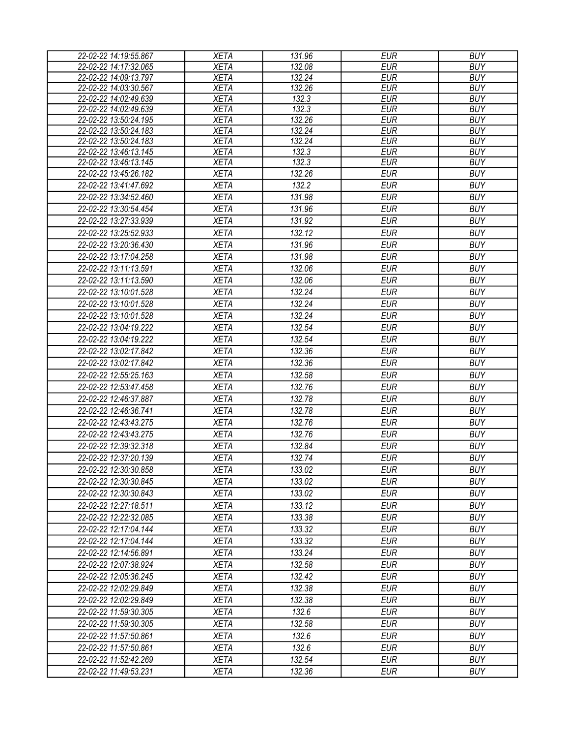| 22-02-22 14:19:55.867 | <b>XETA</b> | 131.96 | <b>EUR</b> | <b>BUY</b> |
|-----------------------|-------------|--------|------------|------------|
| 22-02-22 14:17:32.065 | <b>XETA</b> | 132.08 | <b>EUR</b> | <b>BUY</b> |
| 22-02-22 14:09:13.797 | <b>XETA</b> | 132.24 | <b>EUR</b> | <b>BUY</b> |
| 22-02-22 14:03:30.567 | <b>XETA</b> | 132.26 | <b>EUR</b> | <b>BUY</b> |
| 22-02-22 14:02:49.639 | <b>XETA</b> | 132.3  | <b>EUR</b> | <b>BUY</b> |
| 22-02-22 14:02:49.639 | <b>XETA</b> | 132.3  | <b>EUR</b> | <b>BUY</b> |
| 22-02-22 13:50:24.195 | <b>XETA</b> | 132.26 | <b>EUR</b> | <b>BUY</b> |
| 22-02-22 13:50:24.183 | <b>XETA</b> | 132.24 | <b>EUR</b> | <b>BUY</b> |
| 22-02-22 13:50:24.183 | <b>XETA</b> | 132.24 | <b>EUR</b> | <b>BUY</b> |
| 22-02-22 13:46:13.145 | <b>XETA</b> | 132.3  | <b>EUR</b> | <b>BUY</b> |
| 22-02-22 13:46:13.145 | <b>XETA</b> | 132.3  | <b>EUR</b> | <b>BUY</b> |
| 22-02-22 13:45:26.182 | <b>XETA</b> | 132.26 | <b>EUR</b> | <b>BUY</b> |
| 22-02-22 13:41:47.692 | <b>XETA</b> | 132.2  | <b>EUR</b> | <b>BUY</b> |
| 22-02-22 13:34:52.460 | <b>XETA</b> | 131.98 | <b>EUR</b> | <b>BUY</b> |
| 22-02-22 13:30:54.454 | <b>XETA</b> | 131.96 | <b>EUR</b> | <b>BUY</b> |
| 22-02-22 13:27:33.939 | <b>XETA</b> | 131.92 | <b>EUR</b> | <b>BUY</b> |
| 22-02-22 13:25:52.933 | <b>XETA</b> | 132.12 | <b>EUR</b> | <b>BUY</b> |
| 22-02-22 13:20:36.430 | <b>XETA</b> | 131.96 | <b>EUR</b> | <b>BUY</b> |
| 22-02-22 13:17:04.258 | <b>XETA</b> | 131.98 | <b>EUR</b> | <b>BUY</b> |
| 22-02-22 13:11:13.591 | <b>XETA</b> | 132.06 | <b>EUR</b> | <b>BUY</b> |
| 22-02-22 13:11:13.590 | <b>XETA</b> | 132.06 | <b>EUR</b> | <b>BUY</b> |
| 22-02-22 13:10:01.528 | <b>XETA</b> | 132.24 | <b>EUR</b> | <b>BUY</b> |
| 22-02-22 13:10:01.528 | <b>XETA</b> | 132.24 | <b>EUR</b> | <b>BUY</b> |
| 22-02-22 13:10:01.528 | <b>XETA</b> | 132.24 | <b>EUR</b> | <b>BUY</b> |
| 22-02-22 13:04:19.222 | <b>XETA</b> | 132.54 | <b>EUR</b> | <b>BUY</b> |
| 22-02-22 13:04:19.222 | <b>XETA</b> | 132.54 | <b>EUR</b> | <b>BUY</b> |
| 22-02-22 13:02:17.842 | <b>XETA</b> | 132.36 | <b>EUR</b> | <b>BUY</b> |
| 22-02-22 13:02:17.842 | <b>XETA</b> | 132.36 | <b>EUR</b> | <b>BUY</b> |
|                       |             | 132.58 |            |            |
| 22-02-22 12:55:25.163 | <b>XETA</b> |        | <b>EUR</b> | <b>BUY</b> |
| 22-02-22 12:53:47.458 | <b>XETA</b> | 132.76 | <b>EUR</b> | <b>BUY</b> |
| 22-02-22 12:46:37.887 | <b>XETA</b> | 132.78 | <b>EUR</b> | <b>BUY</b> |
| 22-02-22 12:46:36.741 | <b>XETA</b> | 132.78 | <b>EUR</b> | <b>BUY</b> |
| 22-02-22 12:43:43.275 | <b>XETA</b> | 132.76 | <b>EUR</b> | <b>BUY</b> |
| 22-02-22 12:43:43.275 | <b>XETA</b> | 132.76 | <b>EUR</b> | <b>BUY</b> |
| 22-02-22 12:39:32.318 | <b>XETA</b> | 132.84 | <b>EUR</b> | <b>BUY</b> |
| 22-02-22 12:37:20.139 | <b>XETA</b> | 132.74 | <b>EUR</b> | <b>BUY</b> |
| 22-02-22 12:30:30.858 | <b>XETA</b> | 133.02 | <b>EUR</b> | <b>BUY</b> |
| 22-02-22 12:30:30.845 | <b>XETA</b> | 133.02 | EUR        | <b>BUY</b> |
| 22-02-22 12:30:30.843 | <b>XETA</b> | 133.02 | <b>EUR</b> | <b>BUY</b> |
| 22-02-22 12:27:18.511 | <b>XETA</b> | 133.12 | <b>EUR</b> | <b>BUY</b> |
| 22-02-22 12:22:32.085 | <b>XETA</b> | 133.38 | <b>EUR</b> | <b>BUY</b> |
| 22-02-22 12:17:04.144 | <b>XETA</b> | 133.32 | <b>EUR</b> | <b>BUY</b> |
| 22-02-22 12:17:04.144 | <b>XETA</b> | 133.32 | <b>EUR</b> | <b>BUY</b> |
| 22-02-22 12:14:56.891 | <b>XETA</b> | 133.24 | <b>EUR</b> | <b>BUY</b> |
| 22-02-22 12:07:38.924 | <b>XETA</b> | 132.58 | <b>EUR</b> | <b>BUY</b> |
| 22-02-22 12:05:36.245 | <b>XETA</b> | 132.42 | <b>EUR</b> | <b>BUY</b> |
| 22-02-22 12:02:29.849 | <b>XETA</b> | 132.38 | <b>EUR</b> | <b>BUY</b> |
| 22-02-22 12:02:29.849 | <b>XETA</b> | 132.38 | <b>EUR</b> | <b>BUY</b> |
| 22-02-22 11:59:30.305 | <b>XETA</b> | 132.6  | <b>EUR</b> | <b>BUY</b> |
| 22-02-22 11:59:30.305 | <b>XETA</b> | 132.58 | <b>EUR</b> | <b>BUY</b> |
| 22-02-22 11:57:50.861 | <b>XETA</b> | 132.6  | <b>EUR</b> | <b>BUY</b> |
| 22-02-22 11:57:50.861 | <b>XETA</b> | 132.6  | <b>EUR</b> | <b>BUY</b> |
|                       |             | 132.54 | <b>EUR</b> | <b>BUY</b> |
| 22-02-22 11:52:42.269 | <b>XETA</b> |        |            |            |
| 22-02-22 11:49:53.231 | <b>XETA</b> | 132.36 | <b>EUR</b> | <b>BUY</b> |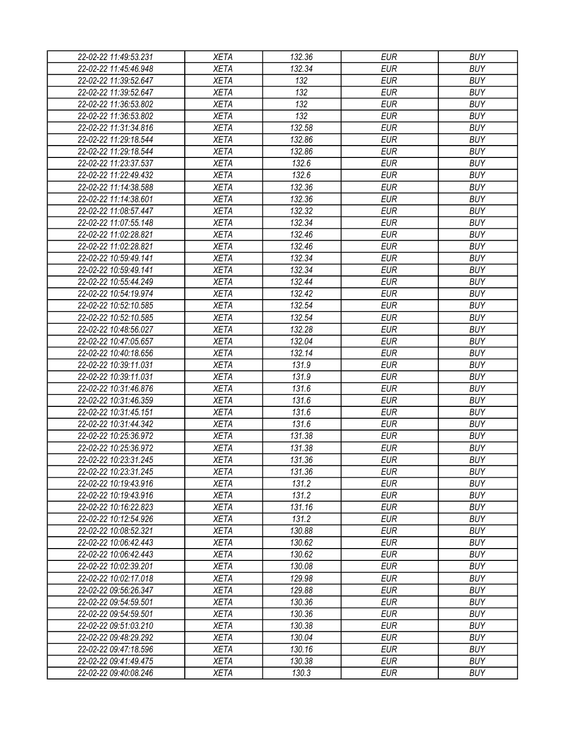| 22-02-22 11:49:53.231 | XETA                       | 132.36          | EUR                      | <b>BUY</b> |
|-----------------------|----------------------------|-----------------|--------------------------|------------|
| 22-02-22 11:45:46.948 | <b>XETA</b>                | 132.34          | <b>EUR</b>               | <b>BUY</b> |
| 22-02-22 11:39:52.647 | <b>XETA</b>                | 132             | <b>EUR</b>               | <b>BUY</b> |
| 22-02-22 11:39:52.647 | <b>XETA</b>                | 132             | <b>EUR</b>               | <b>BUY</b> |
| 22-02-22 11:36:53.802 | <b>XETA</b>                | 132             | <b>EUR</b>               | <b>BUY</b> |
| 22-02-22 11:36:53.802 | <b>XETA</b>                | 132             | <b>EUR</b>               | <b>BUY</b> |
| 22-02-22 11:31:34.816 | <b>XETA</b>                | 132.58          | <b>EUR</b>               | <b>BUY</b> |
| 22-02-22 11:29:18.544 | <b>XETA</b>                | 132.86          | <b>EUR</b>               | <b>BUY</b> |
| 22-02-22 11:29:18.544 | <b>XETA</b>                | 132.86          | <b>EUR</b>               | <b>BUY</b> |
| 22-02-22 11:23:37.537 | <b>XETA</b>                | 132.6           | <b>EUR</b>               | <b>BUY</b> |
| 22-02-22 11:22:49.432 | <b>XETA</b>                | 132.6           | <b>EUR</b>               | <b>BUY</b> |
| 22-02-22 11:14:38.588 | <b>XETA</b>                | 132.36          | <b>EUR</b>               | <b>BUY</b> |
| 22-02-22 11:14:38.601 | <b>XETA</b>                | 132.36          | <b>EUR</b>               | <b>BUY</b> |
| 22-02-22 11:08:57.447 | <b>XETA</b>                | 132.32          | <b>EUR</b>               | <b>BUY</b> |
| 22-02-22 11:07:55.148 | <b>XETA</b>                | 132.34          | <b>EUR</b>               | <b>BUY</b> |
| 22-02-22 11:02:28.821 | <b>XETA</b>                | 132.46          | <b>EUR</b>               | <b>BUY</b> |
| 22-02-22 11:02:28.821 | <b>XETA</b>                | 132.46          | <b>EUR</b>               | <b>BUY</b> |
| 22-02-22 10:59:49.141 | <b>XETA</b>                | 132.34          | <b>EUR</b>               | <b>BUY</b> |
| 22-02-22 10:59:49.141 | <b>XETA</b>                | 132.34          | <b>EUR</b>               | <b>BUY</b> |
| 22-02-22 10:55:44.249 | <b>XETA</b>                | 132.44          | <b>EUR</b>               | <b>BUY</b> |
| 22-02-22 10:54:19.974 | <b>XETA</b>                | 132.42          | <b>EUR</b>               | <b>BUY</b> |
| 22-02-22 10:52:10.585 | <b>XETA</b>                | 132.54          | <b>EUR</b>               | <b>BUY</b> |
| 22-02-22 10:52:10.585 | <b>XETA</b>                | 132.54          | <b>EUR</b>               | <b>BUY</b> |
| 22-02-22 10:48:56.027 | <b>XETA</b>                | 132.28          | <b>EUR</b>               | <b>BUY</b> |
| 22-02-22 10:47:05.657 | <b>XETA</b>                | 132.04          | <b>EUR</b>               | <b>BUY</b> |
| 22-02-22 10:40:18.656 | <b>XETA</b>                | 132.14          | EUR                      | <b>BUY</b> |
| 22-02-22 10:39:11.031 | <b>XETA</b>                | 131.9           | <b>EUR</b>               | <b>BUY</b> |
| 22-02-22 10:39:11.031 | <b>XETA</b>                | 131.9           | <b>EUR</b>               | <b>BUY</b> |
| 22-02-22 10:31:46.876 | <b>XETA</b>                | 131.6           | <b>EUR</b>               | <b>BUY</b> |
| 22-02-22 10:31:46.359 | <b>XETA</b>                | 131.6           | <b>EUR</b>               | <b>BUY</b> |
| 22-02-22 10:31:45.151 | <b>XETA</b>                | 131.6           | <b>EUR</b>               | <b>BUY</b> |
| 22-02-22 10:31:44.342 | <b>XETA</b>                | 131.6           | <b>EUR</b>               | <b>BUY</b> |
| 22-02-22 10:25:36.972 | <b>XETA</b>                | 131.38          | <b>EUR</b>               | <b>BUY</b> |
| 22-02-22 10:25:36.972 | <b>XETA</b>                | 131.38          | <b>EUR</b>               | <b>BUY</b> |
| 22-02-22 10:23:31.245 | <b>XETA</b>                | 131.36          | <b>EUR</b>               | <b>BUY</b> |
| 22-02-22 10:23:31.245 | <b>XETA</b>                |                 |                          | <b>BUY</b> |
|                       |                            | 131.36<br>131.2 | <b>EUR</b><br><b>EUR</b> | <b>BUY</b> |
| 22-02-22 10:19:43.916 | <b>XETA</b><br><b>XETA</b> | 131.2           | <b>EUR</b>               | <b>BUY</b> |
| 22-02-22 10:19:43.916 |                            |                 | <b>EUR</b>               | <b>BUY</b> |
| 22-02-22 10:16:22.823 | <b>XETA</b>                | 131.16          |                          | <b>BUY</b> |
| 22-02-22 10:12:54.926 | <b>XETA</b>                | 131.2           | <b>EUR</b>               |            |
| 22-02-22 10:08:52.321 | <b>XETA</b>                | 130.88          | <b>EUR</b>               | <b>BUY</b> |
| 22-02-22 10:06:42.443 | <b>XETA</b>                | 130.62          | <b>EUR</b>               | <b>BUY</b> |
| 22-02-22 10:06:42.443 | <b>XETA</b>                | 130.62          | <b>EUR</b>               | <b>BUY</b> |
| 22-02-22 10:02:39.201 | <b>XETA</b>                | 130.08          | <b>EUR</b>               | <b>BUY</b> |
| 22-02-22 10:02:17.018 | <b>XETA</b>                | 129.98          | <b>EUR</b>               | <b>BUY</b> |
| 22-02-22 09:56:26.347 | <b>XETA</b>                | 129.88          | <b>EUR</b>               | <b>BUY</b> |
| 22-02-22 09:54:59.501 | <b>XETA</b>                | 130.36          | <b>EUR</b>               | <b>BUY</b> |
| 22-02-22 09:54:59.501 | <b>XETA</b>                | 130.36          | <b>EUR</b>               | <b>BUY</b> |
| 22-02-22 09:51:03.210 | <b>XETA</b>                | 130.38          | <b>EUR</b>               | <b>BUY</b> |
| 22-02-22 09:48:29.292 | <b>XETA</b>                | 130.04          | <b>EUR</b>               | <b>BUY</b> |
| 22-02-22 09:47:18.596 | <b>XETA</b>                | 130.16          | EUR                      | <b>BUY</b> |
| 22-02-22 09:41:49.475 | <b>XETA</b>                | 130.38          | <b>EUR</b>               | <b>BUY</b> |
| 22-02-22 09:40:08.246 | XETA                       | 130.3           | <b>EUR</b>               | <b>BUY</b> |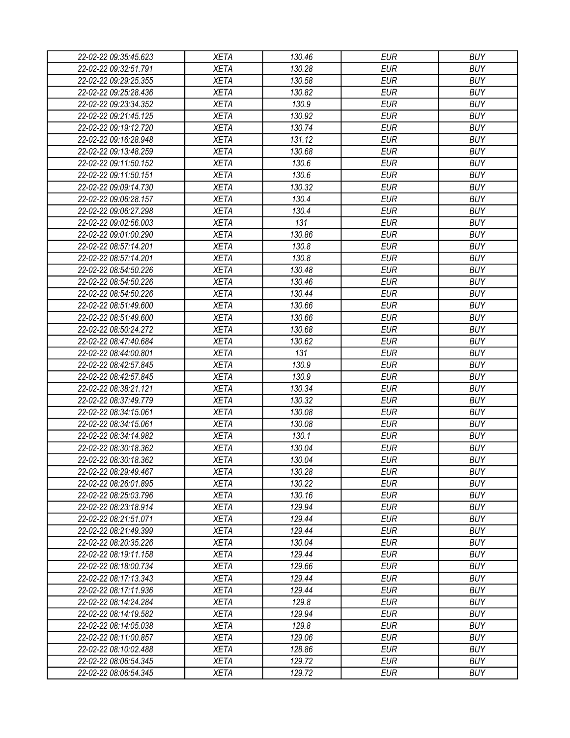| 22-02-22 09:35:45.623 | <b>XETA</b> | 130.46 | <b>EUR</b> | <b>BUY</b> |
|-----------------------|-------------|--------|------------|------------|
| 22-02-22 09:32:51.791 | <b>XETA</b> | 130.28 | <b>EUR</b> | <b>BUY</b> |
| 22-02-22 09:29:25.355 | <b>XETA</b> | 130.58 | <b>EUR</b> | <b>BUY</b> |
| 22-02-22 09:25:28.436 | <b>XETA</b> | 130.82 | <b>EUR</b> | <b>BUY</b> |
| 22-02-22 09:23:34.352 | <b>XETA</b> | 130.9  | <b>EUR</b> | <b>BUY</b> |
| 22-02-22 09:21:45.125 | <b>XETA</b> | 130.92 | <b>EUR</b> | <b>BUY</b> |
| 22-02-22 09:19:12.720 | <b>XETA</b> | 130.74 | <b>EUR</b> | <b>BUY</b> |
| 22-02-22 09:16:28.948 | <b>XETA</b> | 131.12 | <b>EUR</b> | <b>BUY</b> |
| 22-02-22 09:13:48.259 | <b>XETA</b> | 130.68 | <b>EUR</b> | <b>BUY</b> |
| 22-02-22 09:11:50.152 | <b>XETA</b> | 130.6  | <b>EUR</b> | <b>BUY</b> |
| 22-02-22 09:11:50.151 | <b>XETA</b> | 130.6  | <b>EUR</b> | <b>BUY</b> |
| 22-02-22 09:09:14.730 | <b>XETA</b> | 130.32 | <b>EUR</b> | <b>BUY</b> |
| 22-02-22 09:06:28.157 | <b>XETA</b> | 130.4  | <b>EUR</b> | <b>BUY</b> |
| 22-02-22 09:06:27.298 | <b>XETA</b> | 130.4  | <b>EUR</b> | <b>BUY</b> |
| 22-02-22 09:02:56.003 | <b>XETA</b> | 131    | <b>EUR</b> | <b>BUY</b> |
| 22-02-22 09:01:00.290 | <b>XETA</b> | 130.86 | <b>EUR</b> | <b>BUY</b> |
| 22-02-22 08:57:14.201 | <b>XETA</b> | 130.8  | <b>EUR</b> | <b>BUY</b> |
| 22-02-22 08:57:14.201 | <b>XETA</b> | 130.8  | <b>EUR</b> | <b>BUY</b> |
| 22-02-22 08:54:50.226 | <b>XETA</b> | 130.48 | <b>EUR</b> | <b>BUY</b> |
| 22-02-22 08:54:50.226 | <b>XETA</b> | 130.46 | <b>EUR</b> | <b>BUY</b> |
| 22-02-22 08:54:50.226 | <b>XETA</b> | 130.44 | <b>EUR</b> | <b>BUY</b> |
| 22-02-22 08:51:49.600 | <b>XETA</b> | 130.66 | <b>EUR</b> | <b>BUY</b> |
| 22-02-22 08:51:49.600 | <b>XETA</b> | 130.66 | <b>EUR</b> | <b>BUY</b> |
| 22-02-22 08:50:24.272 | <b>XETA</b> | 130.68 | <b>EUR</b> | <b>BUY</b> |
| 22-02-22 08:47:40.684 | <b>XETA</b> | 130.62 | <b>EUR</b> | <b>BUY</b> |
| 22-02-22 08:44:00.801 | <b>XETA</b> | 131    | <b>EUR</b> | <b>BUY</b> |
| 22-02-22 08:42:57.845 | <b>XETA</b> | 130.9  | <b>EUR</b> | <b>BUY</b> |
| 22-02-22 08:42:57.845 | <b>XETA</b> | 130.9  | <b>EUR</b> | <b>BUY</b> |
| 22-02-22 08:38:21.121 | <b>XETA</b> | 130.34 | <b>EUR</b> | <b>BUY</b> |
| 22-02-22 08:37:49.779 | <b>XETA</b> | 130.32 | <b>EUR</b> | <b>BUY</b> |
| 22-02-22 08:34:15.061 | <b>XETA</b> | 130.08 | <b>EUR</b> | <b>BUY</b> |
| 22-02-22 08:34:15.061 | <b>XETA</b> | 130.08 | <b>EUR</b> | <b>BUY</b> |
| 22-02-22 08:34:14.982 | <b>XETA</b> | 130.1  | <b>EUR</b> | <b>BUY</b> |
| 22-02-22 08:30:18.362 | <b>XETA</b> | 130.04 | <b>EUR</b> | <b>BUY</b> |
| 22-02-22 08:30:18.362 | <b>XETA</b> | 130.04 | <b>EUR</b> | <b>BUY</b> |
| 22-02-22 08:29:49.467 | <b>XETA</b> | 130.28 | <b>EUR</b> | <b>BUY</b> |
| 22-02-22 08:26:01.895 | <b>XETA</b> | 130.22 | <b>EUR</b> | <b>BUY</b> |
| 22-02-22 08:25:03.796 | <b>XETA</b> | 130.16 | <b>EUR</b> | <b>BUY</b> |
| 22-02-22 08:23:18.914 | <b>XETA</b> | 129.94 | <b>EUR</b> | <b>BUY</b> |
| 22-02-22 08:21:51.071 | <b>XETA</b> | 129.44 | <b>EUR</b> | <b>BUY</b> |
| 22-02-22 08:21:49.399 | <b>XETA</b> | 129.44 | <b>EUR</b> | <b>BUY</b> |
| 22-02-22 08:20:35.226 | <b>XETA</b> | 130.04 | <b>EUR</b> | <b>BUY</b> |
| 22-02-22 08:19:11.158 | <b>XETA</b> | 129.44 | <b>EUR</b> | <b>BUY</b> |
| 22-02-22 08:18:00.734 | <b>XETA</b> | 129.66 | <b>EUR</b> | <b>BUY</b> |
| 22-02-22 08:17:13.343 | <b>XETA</b> | 129.44 | <b>EUR</b> | <b>BUY</b> |
| 22-02-22 08:17:11.936 | <b>XETA</b> | 129.44 | <b>EUR</b> | <b>BUY</b> |
| 22-02-22 08:14:24.284 | <b>XETA</b> | 129.8  | <b>EUR</b> | <b>BUY</b> |
| 22-02-22 08:14:19.582 | <b>XETA</b> | 129.94 | <b>EUR</b> | <b>BUY</b> |
| 22-02-22 08:14:05.038 | <b>XETA</b> | 129.8  | <b>EUR</b> | <b>BUY</b> |
| 22-02-22 08:11:00.857 | <b>XETA</b> | 129.06 | <b>EUR</b> | <b>BUY</b> |
| 22-02-22 08:10:02.488 | <b>XETA</b> | 128.86 | <b>EUR</b> | <b>BUY</b> |
| 22-02-22 08:06:54.345 | <b>XETA</b> | 129.72 | <b>EUR</b> | <b>BUY</b> |
| 22-02-22 08:06:54.345 | <b>XETA</b> | 129.72 | <b>EUR</b> | <b>BUY</b> |
|                       |             |        |            |            |